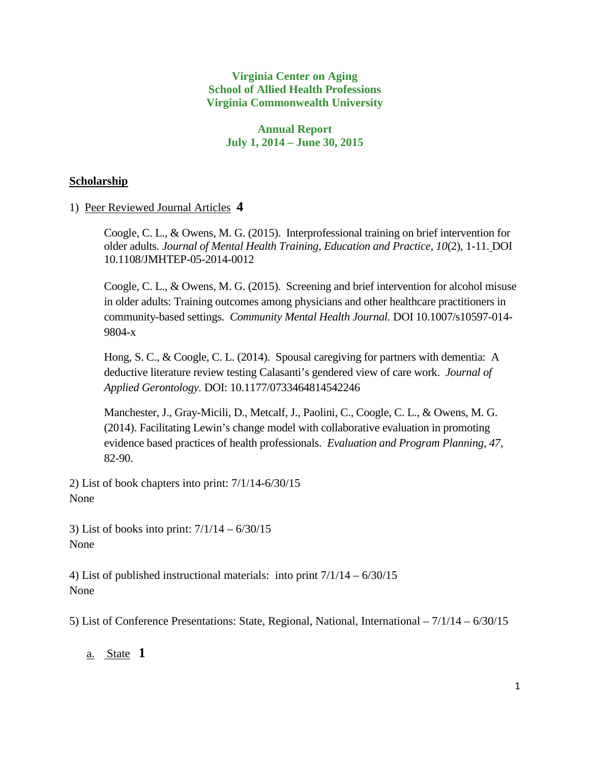### **Virginia Center on Aging School of Allied Health Professions Virginia Commonwealth University**

# **Annual Report July 1, 2014 – June 30, 2015**

# **Scholarship**

# 1) Peer Reviewed Journal Articles **4**

Coogle, C. L., & Owens, M. G. (2015). Interprofessional training on brief intervention for older adults. *Journal of Mental Health Training, Education and Practice, 10*(2), 1-11. DOI 10.1108/JMHTEP-05-2014-0012

Coogle, C. L., & Owens, M. G. (2015). Screening and brief intervention for alcohol misuse in older adults: Training outcomes among physicians and other healthcare practitioners in community-based settings. *Community Mental Health Journal.* DOI 10.1007/s10597-014- 9804-x

Hong, S. C., & Coogle, C. L. (2014). Spousal caregiving for partners with dementia: A deductive literature review testing Calasanti's gendered view of care work. *Journal of Applied Gerontology.* DOI: 10.1177/0733464814542246

Manchester, J., Gray-Micili, D., Metcalf, J., Paolini, C., Coogle, C. L., & Owens, M. G. (2014). Facilitating Lewin's change model with collaborative evaluation in promoting evidence based practices of health professionals. *Evaluation and Program Planning, 47*, 82-90.

2) List of book chapters into print: 7/1/14-6/30/15 None

3) List of books into print: 7/1/14 – 6/30/15 None

4) List of published instructional materials: into print 7/1/14 – 6/30/15 None

5) List of Conference Presentations: State, Regional, National, International – 7/1/14 – 6/30/15

a. State **1**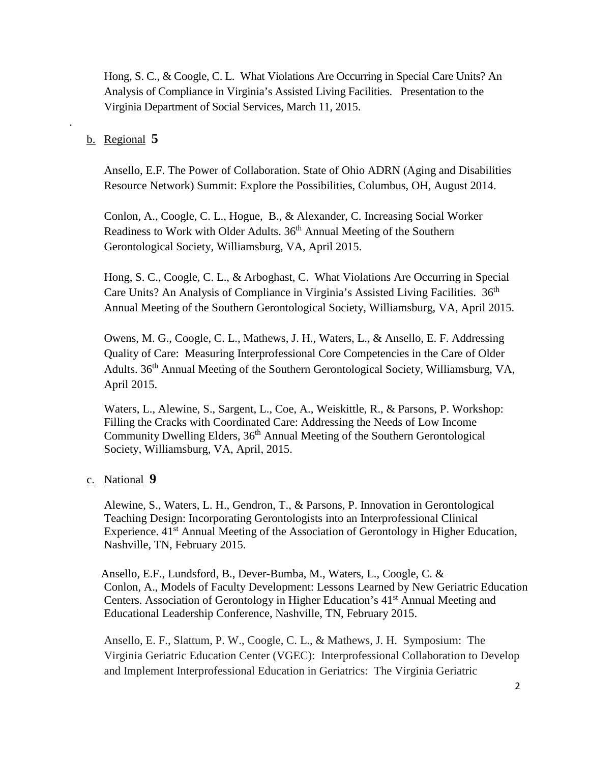Hong, S. C., & Coogle, C. L. What Violations Are Occurring in Special Care Units? An Analysis of Compliance in Virginia's Assisted Living Facilities. Presentation to the Virginia Department of Social Services, March 11, 2015.

#### b. Regional **5**

.

Ansello, E.F. The Power of Collaboration. State of Ohio ADRN (Aging and Disabilities Resource Network) Summit: Explore the Possibilities, Columbus, OH, August 2014.

Conlon, A., Coogle, C. L., Hogue, B., & Alexander, C. Increasing Social Worker Readiness to Work with Older Adults. 36<sup>th</sup> Annual Meeting of the Southern Gerontological Society, Williamsburg, VA, April 2015.

Hong, S. C., Coogle, C. L., & Arboghast, C. What Violations Are Occurring in Special Care Units? An Analysis of Compliance in Virginia's Assisted Living Facilities. 36<sup>th</sup> Annual Meeting of the Southern Gerontological Society, Williamsburg, VA, April 2015.

Owens, M. G., Coogle, C. L., Mathews, J. H., Waters, L., & Ansello, E. F. Addressing Quality of Care: Measuring Interprofessional Core Competencies in the Care of Older Adults. 36<sup>th</sup> Annual Meeting of the Southern Gerontological Society, Williamsburg, VA, April 2015.

Waters, L., Alewine, S., Sargent, L., Coe, A., Weiskittle, R., & Parsons, P. Workshop: Filling the Cracks with Coordinated Care: Addressing the Needs of Low Income Community Dwelling Elders,  $36<sup>th</sup>$  Annual Meeting of the Southern Gerontological Society, Williamsburg, VA, April, 2015.

### c. National **9**

Alewine, S., Waters, L. H., Gendron, T., & Parsons, P. Innovation in Gerontological Teaching Design: Incorporating Gerontologists into an Interprofessional Clinical Experience. 41<sup>st</sup> Annual Meeting of the Association of Gerontology in Higher Education, Nashville, TN, February 2015.

Ansello, E.F., Lundsford, B., Dever-Bumba, M., Waters, L., Coogle, C. & Conlon, A., Models of Faculty Development: Lessons Learned by New Geriatric Education Centers. Association of Gerontology in Higher Education's 41<sup>st</sup> Annual Meeting and Educational Leadership Conference, Nashville, TN, February 2015.

Ansello, E. F., Slattum, P. W., Coogle, C. L., & Mathews, J. H. Symposium: The Virginia Geriatric Education Center (VGEC): Interprofessional Collaboration to Develop and Implement Interprofessional Education in Geriatrics: The Virginia Geriatric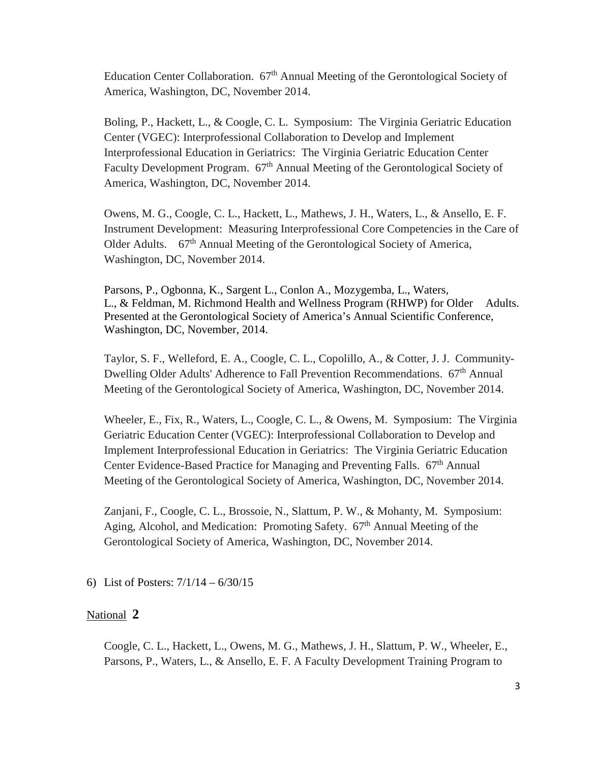Education Center Collaboration. 67<sup>th</sup> Annual Meeting of the Gerontological Society of America, Washington, DC, November 2014.

Boling, P., Hackett, L., & Coogle, C. L. Symposium: The Virginia Geriatric Education Center (VGEC): Interprofessional Collaboration to Develop and Implement Interprofessional Education in Geriatrics: The Virginia Geriatric Education Center Faculty Development Program. 67<sup>th</sup> Annual Meeting of the Gerontological Society of America, Washington, DC, November 2014.

Owens, M. G., Coogle, C. L., Hackett, L., Mathews, J. H., Waters, L., & Ansello, E. F. Instrument Development: Measuring Interprofessional Core Competencies in the Care of Older Adults. 67<sup>th</sup> Annual Meeting of the Gerontological Society of America, Washington, DC, November 2014.

Parsons, P., Ogbonna, K., Sargent L., Conlon A., Mozygemba, L., Waters, L., & Feldman, M. Richmond Health and Wellness Program (RHWP) for Older Adults. Presented at the Gerontological Society of America's Annual Scientific Conference, Washington, DC, November, 2014.

Taylor, S. F., Welleford, E. A., Coogle, C. L., Copolillo, A., & Cotter, J. J. Community-Dwelling Older Adults' Adherence to Fall Prevention Recommendations. 67<sup>th</sup> Annual Meeting of the Gerontological Society of America, Washington, DC, November 2014.

Wheeler, E., Fix, R., Waters, L., Coogle, C. L., & Owens, M. Symposium: The Virginia Geriatric Education Center (VGEC): Interprofessional Collaboration to Develop and Implement Interprofessional Education in Geriatrics: The Virginia Geriatric Education Center Evidence-Based Practice for Managing and Preventing Falls. 67<sup>th</sup> Annual Meeting of the Gerontological Society of America, Washington, DC, November 2014.

Zanjani, F., Coogle, C. L., Brossoie, N., Slattum, P. W., & Mohanty, M. Symposium: Aging, Alcohol, and Medication: Promoting Safety.  $67<sup>th</sup>$  Annual Meeting of the Gerontological Society of America, Washington, DC, November 2014.

6) List of Posters: 7/1/14 – 6/30/15

#### National **2**

Coogle, C. L., Hackett, L., Owens, M. G., Mathews, J. H., Slattum, P. W., Wheeler, E., Parsons, P., Waters, L., & Ansello, E. F. A Faculty Development Training Program to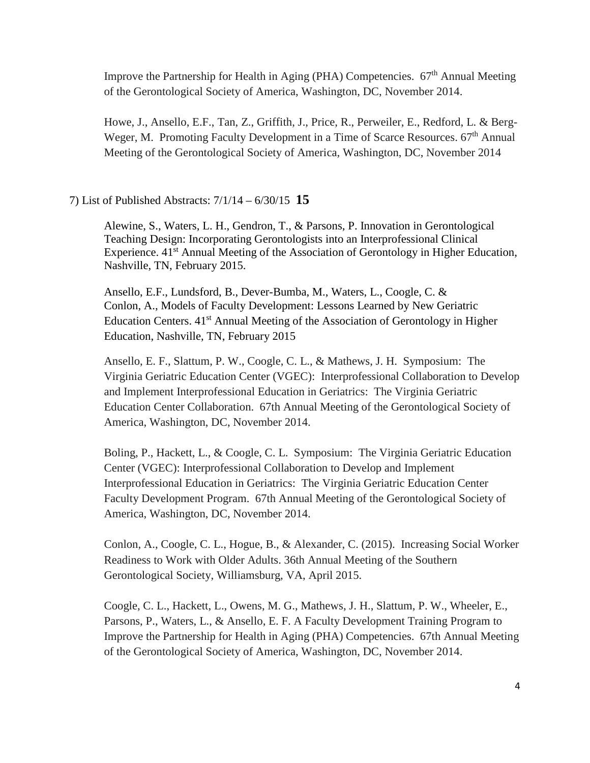Improve the Partnership for Health in Aging (PHA) Competencies.  $67<sup>th</sup>$  Annual Meeting of the Gerontological Society of America, Washington, DC, November 2014.

Howe, J., Ansello, E.F., Tan, Z., Griffith, J., Price, R., Perweiler, E., Redford, L. & Berg-Weger, M. Promoting Faculty Development in a Time of Scarce Resources.  $67<sup>th</sup>$  Annual Meeting of the Gerontological Society of America, Washington, DC, November 2014

#### 7) List of Published Abstracts: 7/1/14 – 6/30/15 **15**

Alewine, S., Waters, L. H., Gendron, T., & Parsons, P. Innovation in Gerontological Teaching Design: Incorporating Gerontologists into an Interprofessional Clinical Experience. 41<sup>st</sup> Annual Meeting of the Association of Gerontology in Higher Education, Nashville, TN, February 2015.

Ansello, E.F., Lundsford, B., Dever-Bumba, M., Waters, L., Coogle, C. & Conlon, A., Models of Faculty Development: Lessons Learned by New Geriatric Education Centers. 41<sup>st</sup> Annual Meeting of the Association of Gerontology in Higher Education, Nashville, TN, February 2015

Ansello, E. F., Slattum, P. W., Coogle, C. L., & Mathews, J. H. Symposium: The Virginia Geriatric Education Center (VGEC): Interprofessional Collaboration to Develop and Implement Interprofessional Education in Geriatrics: The Virginia Geriatric Education Center Collaboration. 67th Annual Meeting of the Gerontological Society of America, Washington, DC, November 2014.

Boling, P., Hackett, L., & Coogle, C. L. Symposium: The Virginia Geriatric Education Center (VGEC): Interprofessional Collaboration to Develop and Implement Interprofessional Education in Geriatrics: The Virginia Geriatric Education Center Faculty Development Program. 67th Annual Meeting of the Gerontological Society of America, Washington, DC, November 2014.

Conlon, A., Coogle, C. L., Hogue, B., & Alexander, C. (2015). Increasing Social Worker Readiness to Work with Older Adults. 36th Annual Meeting of the Southern Gerontological Society, Williamsburg, VA, April 2015.

Coogle, C. L., Hackett, L., Owens, M. G., Mathews, J. H., Slattum, P. W., Wheeler, E., Parsons, P., Waters, L., & Ansello, E. F. A Faculty Development Training Program to Improve the Partnership for Health in Aging (PHA) Competencies. 67th Annual Meeting of the Gerontological Society of America, Washington, DC, November 2014.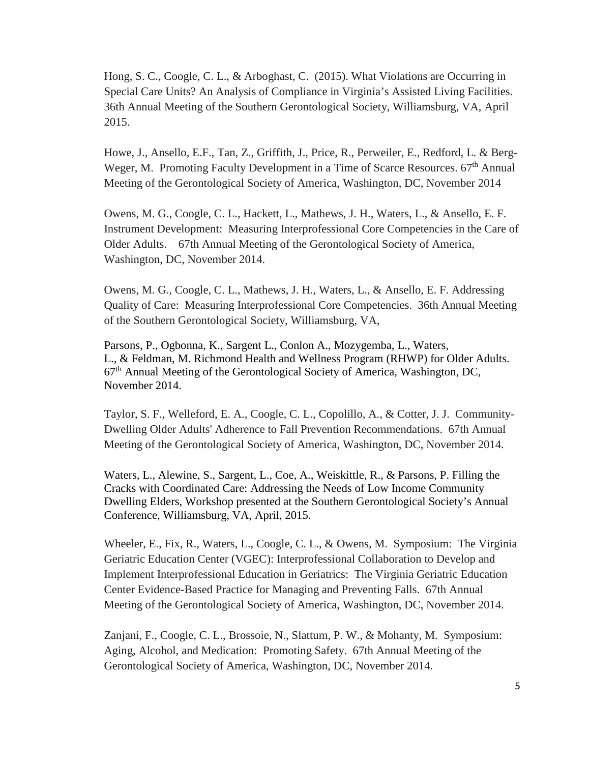Hong, S. C., Coogle, C. L., & Arboghast, C. (2015). What Violations are Occurring in Special Care Units? An Analysis of Compliance in Virginia's Assisted Living Facilities. 36th Annual Meeting of the Southern Gerontological Society, Williamsburg, VA, April 2015.

Howe, J., Ansello, E.F., Tan, Z., Griffith, J., Price, R., Perweiler, E., Redford, L. & Berg-Weger, M. Promoting Faculty Development in a Time of Scarce Resources.  $67<sup>th</sup>$  Annual Meeting of the Gerontological Society of America, Washington, DC, November 2014

Owens, M. G., Coogle, C. L., Hackett, L., Mathews, J. H., Waters, L., & Ansello, E. F. Instrument Development: Measuring Interprofessional Core Competencies in the Care of Older Adults. 67th Annual Meeting of the Gerontological Society of America, Washington, DC, November 2014.

Owens, M. G., Coogle, C. L., Mathews, J. H., Waters, L., & Ansello, E. F. Addressing Quality of Care: Measuring Interprofessional Core Competencies. 36th Annual Meeting of the Southern Gerontological Society, Williamsburg, VA,

Parsons, P., Ogbonna, K., Sargent L., Conlon A., Mozygemba, L., Waters, L., & Feldman, M. Richmond Health and Wellness Program (RHWP) for Older Adults. 67<sup>th</sup> Annual Meeting of the Gerontological Society of America, Washington, DC, November 2014.

Taylor, S. F., Welleford, E. A., Coogle, C. L., Copolillo, A., & Cotter, J. J. Community-Dwelling Older Adults' Adherence to Fall Prevention Recommendations. 67th Annual Meeting of the Gerontological Society of America, Washington, DC, November 2014.

Waters, L., Alewine, S., Sargent, L., Coe, A., Weiskittle, R., & Parsons, P. Filling the Cracks with Coordinated Care: Addressing the Needs of Low Income Community Dwelling Elders, Workshop presented at the Southern Gerontological Society's Annual Conference, Williamsburg, VA, April, 2015.

Wheeler, E., Fix, R., Waters, L., Coogle, C. L., & Owens, M. Symposium: The Virginia Geriatric Education Center (VGEC): Interprofessional Collaboration to Develop and Implement Interprofessional Education in Geriatrics: The Virginia Geriatric Education Center Evidence-Based Practice for Managing and Preventing Falls. 67th Annual Meeting of the Gerontological Society of America, Washington, DC, November 2014.

Zanjani, F., Coogle, C. L., Brossoie, N., Slattum, P. W., & Mohanty, M. Symposium: Aging, Alcohol, and Medication: Promoting Safety. 67th Annual Meeting of the Gerontological Society of America, Washington, DC, November 2014.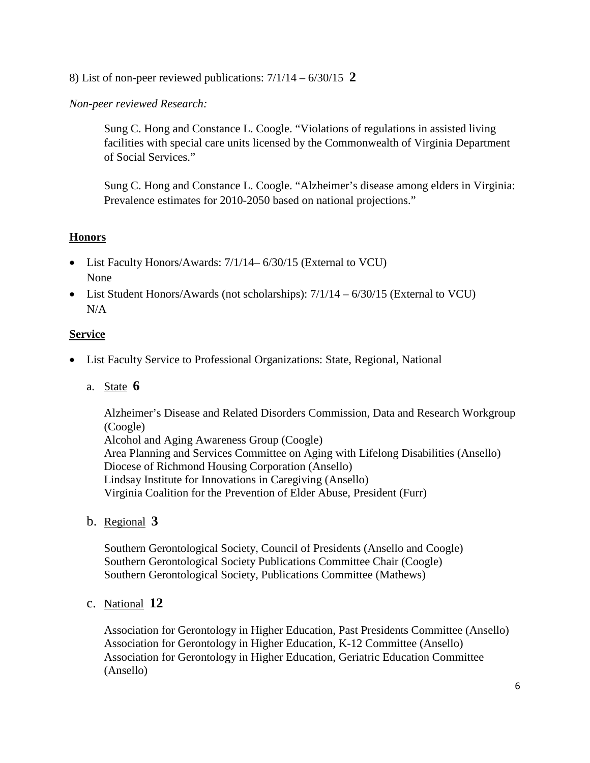8) List of non-peer reviewed publications: 7/1/14 – 6/30/15 **2**

# *Non-peer reviewed Research:*

Sung C. Hong and Constance L. Coogle. "Violations of regulations in assisted living facilities with special care units licensed by the Commonwealth of Virginia Department of Social Services."

Sung C. Hong and Constance L. Coogle. "Alzheimer's disease among elders in Virginia: Prevalence estimates for 2010-2050 based on national projections."

# **Honors**

- List Faculty Honors/Awards: 7/1/14–6/30/15 (External to VCU) None
- List Student Honors/Awards (not scholarships):  $7/1/14 6/30/15$  (External to VCU) N/A

# **Service**

- List Faculty Service to Professional Organizations: State, Regional, National
	- a. State **6**

Alzheimer's Disease and Related Disorders Commission, Data and Research Workgroup (Coogle)

Alcohol and Aging Awareness Group (Coogle) Area Planning and Services Committee on Aging with Lifelong Disabilities (Ansello) Diocese of Richmond Housing Corporation (Ansello) Lindsay Institute for Innovations in Caregiving (Ansello) Virginia Coalition for the Prevention of Elder Abuse, President (Furr)

b. Regional **3**

Southern Gerontological Society, Council of Presidents (Ansello and Coogle) Southern Gerontological Society Publications Committee Chair (Coogle) Southern Gerontological Society, Publications Committee (Mathews)

c. National **12**

Association for Gerontology in Higher Education, Past Presidents Committee (Ansello) Association for Gerontology in Higher Education, K-12 Committee (Ansello) Association for Gerontology in Higher Education, Geriatric Education Committee (Ansello)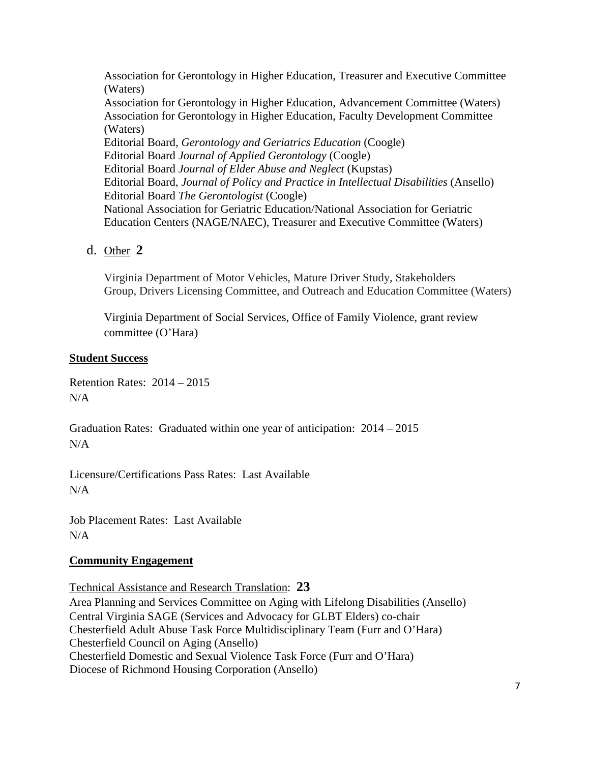Association for Gerontology in Higher Education, Treasurer and Executive Committee (Waters) Association for Gerontology in Higher Education, Advancement Committee (Waters) Association for Gerontology in Higher Education, Faculty Development Committee (Waters) Editorial Board*, Gerontology and Geriatrics Education* (Coogle) Editorial Board *Journal of Applied Gerontology* (Coogle) Editorial Board *Journal of Elder Abuse and Neglect* (Kupstas) Editorial Board, *Journal of Policy and Practice in Intellectual Disabilities* (Ansello) Editorial Board *The Gerontologist* (Coogle) National Association for Geriatric Education/National Association for Geriatric Education Centers (NAGE/NAEC), Treasurer and Executive Committee (Waters)

d. Other **2**

Virginia Department of Motor Vehicles, Mature Driver Study, Stakeholders Group, Drivers Licensing Committee, and Outreach and Education Committee (Waters)

Virginia Department of Social Services, Office of Family Violence, grant review committee (O'Hara)

### **Student Success**

Retention Rates: 2014 – 2015  $N/A$ 

Graduation Rates: Graduated within one year of anticipation: 2014 – 2015 N/A

Licensure/Certifications Pass Rates: Last Available N/A

Job Placement Rates: Last Available N/A

# **Community Engagement**

Technical Assistance and Research Translation: **23** Area Planning and Services Committee on Aging with Lifelong Disabilities (Ansello) Central Virginia SAGE (Services and Advocacy for GLBT Elders) co-chair Chesterfield Adult Abuse Task Force Multidisciplinary Team (Furr and O'Hara) Chesterfield Council on Aging (Ansello) Chesterfield Domestic and Sexual Violence Task Force (Furr and O'Hara) Diocese of Richmond Housing Corporation (Ansello)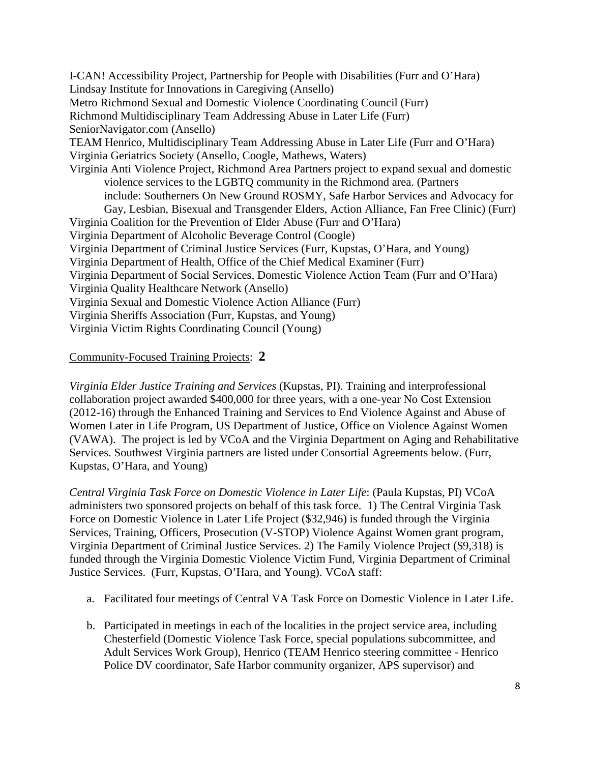I-CAN! Accessibility Project, Partnership for People with Disabilities (Furr and O'Hara) Lindsay Institute for Innovations in Caregiving (Ansello) Metro Richmond Sexual and Domestic Violence Coordinating Council (Furr) Richmond Multidisciplinary Team Addressing Abuse in Later Life (Furr) SeniorNavigator.com (Ansello) TEAM Henrico, Multidisciplinary Team Addressing Abuse in Later Life (Furr and O'Hara) Virginia Geriatrics Society (Ansello, Coogle, Mathews, Waters) Virginia Anti Violence Project, Richmond Area Partners project to expand sexual and domestic violence services to the LGBTQ community in the Richmond area. (Partners include: [Southerners On New Ground](http://southernersonnewground.org/) [ROSMY,](http://rosmy.org/) [Safe Harbor](http://safeharborshelter.com/) [Services and Advocacy for](http://www.gayrichmond.com/programs/sage/)  [Gay, Lesbian, Bisexual and Transgender Elders,](http://www.gayrichmond.com/programs/sage/) [Action Alliance,](http://www.vsdvalliance.org/) [Fan Free Clinic\)](http://www.fanfreeclinic.org/) (Furr) Virginia Coalition for the Prevention of Elder Abuse (Furr and O'Hara) Virginia Department of Alcoholic Beverage Control (Coogle) Virginia Department of Criminal Justice Services (Furr, Kupstas, O'Hara, and Young) Virginia Department of Health, Office of the Chief Medical Examiner (Furr) Virginia Department of Social Services, Domestic Violence Action Team (Furr and O'Hara) Virginia Quality Healthcare Network (Ansello) Virginia Sexual and Domestic Violence Action Alliance (Furr) Virginia Sheriffs Association (Furr, Kupstas, and Young) Virginia Victim Rights Coordinating Council (Young)

### Community-Focused Training Projects: **2**

*Virginia Elder Justice Training and Services* (Kupstas, PI). Training and interprofessional collaboration project awarded \$400,000 for three years, with a one-year No Cost Extension (2012-16) through the Enhanced Training and Services to End Violence Against and Abuse of Women Later in Life Program, US Department of Justice, Office on Violence Against Women (VAWA). The project is led by VCoA and the Virginia Department on Aging and Rehabilitative Services. Southwest Virginia partners are listed under Consortial Agreements below. (Furr, Kupstas, O'Hara, and Young)

*Central Virginia Task Force on Domestic Violence in Later Life*: (Paula Kupstas, PI) VCoA administers two sponsored projects on behalf of this task force. 1) The Central Virginia Task Force on Domestic Violence in Later Life Project (\$32,946) is funded through the Virginia Services, Training, Officers, Prosecution (V-STOP) Violence Against Women grant program, Virginia Department of Criminal Justice Services. 2) The Family Violence Project (\$9,318) is funded through the Virginia Domestic Violence Victim Fund, Virginia Department of Criminal Justice Services. (Furr, Kupstas, O'Hara, and Young). VCoA staff:

- a. Facilitated four meetings of Central VA Task Force on Domestic Violence in Later Life.
- b. Participated in meetings in each of the localities in the project service area, including Chesterfield (Domestic Violence Task Force, special populations subcommittee, and Adult Services Work Group), Henrico (TEAM Henrico steering committee - Henrico Police DV coordinator, Safe Harbor community organizer, APS supervisor) and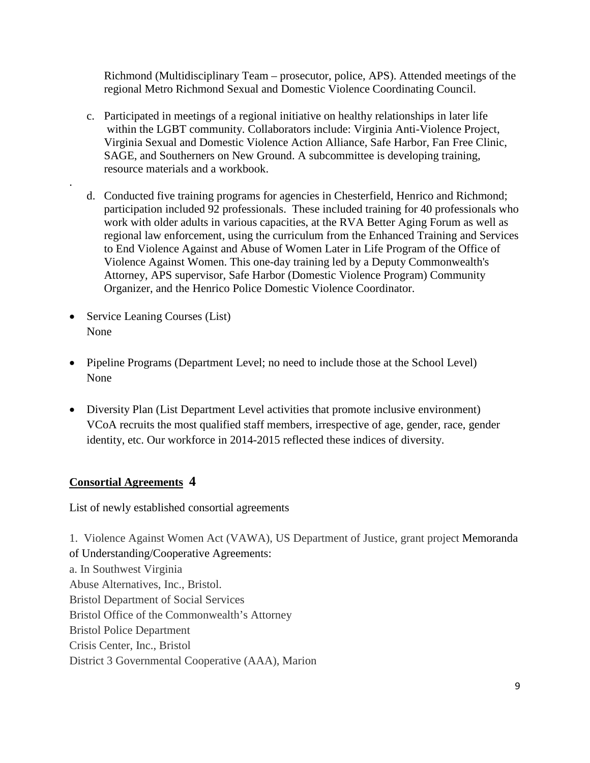Richmond (Multidisciplinary Team – prosecutor, police, APS). Attended meetings of the regional Metro Richmond Sexual and Domestic Violence Coordinating Council.

- c. Participated in meetings of a regional initiative on healthy relationships in later life within the LGBT community. Collaborators include: Virginia Anti-Violence Project, Virginia Sexual and Domestic Violence Action Alliance, Safe Harbor, Fan Free Clinic, SAGE, and Southerners on New Ground. A subcommittee is developing training, resource materials and a workbook.
- d. Conducted five training programs for agencies in Chesterfield, Henrico and Richmond; participation included 92 professionals. These included training for 40 professionals who work with older adults in various capacities, at the RVA Better Aging Forum as well as regional law enforcement, using the curriculum from the Enhanced Training and Services to End Violence Against and Abuse of Women Later in Life Program of the Office of Violence Against Women. This one-day training led by a Deputy Commonwealth's Attorney, APS supervisor, Safe Harbor (Domestic Violence Program) Community Organizer, and the Henrico Police Domestic Violence Coordinator.
- Service Leaning Courses (List) None

.

- Pipeline Programs (Department Level; no need to include those at the School Level) None
- Diversity Plan (List Department Level activities that promote inclusive environment) VCoA recruits the most qualified staff members, irrespective of age, gender, race, gender identity, etc. Our workforce in 2014-2015 reflected these indices of diversity.

# **Consortial Agreements 4**

List of newly established consortial agreements

1. Violence Against Women Act (VAWA), US Department of Justice, grant project Memoranda of Understanding/Cooperative Agreements: a. In Southwest Virginia Abuse Alternatives, Inc., Bristol. Bristol Department of Social Services Bristol Office of the Commonwealth's Attorney Bristol Police Department Crisis Center, Inc., Bristol District 3 Governmental Cooperative (AAA), Marion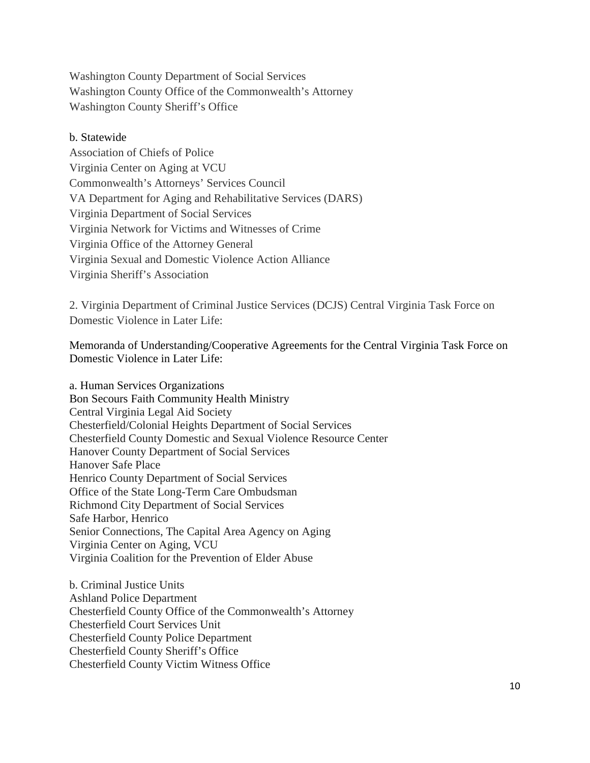Washington County Department of Social Services Washington County Office of the Commonwealth's Attorney Washington County Sheriff's Office

#### b. Statewide

Association of Chiefs of Police Virginia Center on Aging at VCU Commonwealth's Attorneys' Services Council VA Department for Aging and Rehabilitative Services (DARS) Virginia Department of Social Services Virginia Network for Victims and Witnesses of Crime Virginia Office of the Attorney General Virginia Sexual and Domestic Violence Action Alliance Virginia Sheriff's Association

2. Virginia Department of Criminal Justice Services (DCJS) Central Virginia Task Force on Domestic Violence in Later Life:

Memoranda of Understanding/Cooperative Agreements for the Central Virginia Task Force on Domestic Violence in Later Life:

a. Human Services Organizations Bon Secours Faith Community Health Ministry Central Virginia Legal Aid Society Chesterfield/Colonial Heights Department of Social Services Chesterfield County Domestic and Sexual Violence Resource Center Hanover County Department of Social Services Hanover Safe Place Henrico County Department of Social Services Office of the State Long-Term Care Ombudsman Richmond City Department of Social Services Safe Harbor, Henrico Senior Connections, The Capital Area Agency on Aging Virginia Center on Aging, VCU Virginia Coalition for the Prevention of Elder Abuse

b. Criminal Justice Units Ashland Police Department Chesterfield County Office of the Commonwealth's Attorney Chesterfield Court Services Unit Chesterfield County Police Department Chesterfield County Sheriff's Office Chesterfield County Victim Witness Office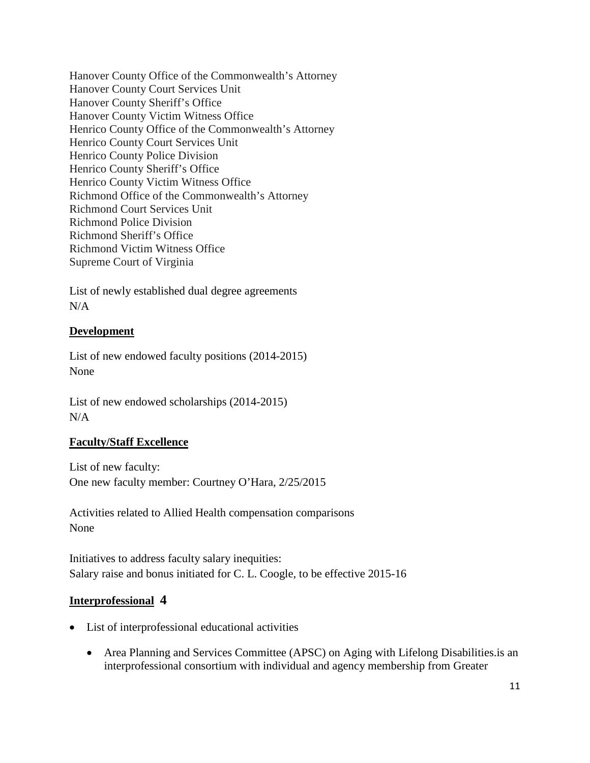Hanover County Office of the Commonwealth's Attorney Hanover County Court Services Unit Hanover County Sheriff's Office Hanover County Victim Witness Office Henrico County Office of the Commonwealth's Attorney Henrico County Court Services Unit Henrico County Police Division Henrico County Sheriff's Office Henrico County Victim Witness Office Richmond Office of the Commonwealth's Attorney Richmond Court Services Unit Richmond Police Division Richmond Sheriff's Office Richmond Victim Witness Office Supreme Court of Virginia

List of newly established dual degree agreements N/A

# **Development**

List of new endowed faculty positions (2014-2015) None

List of new endowed scholarships (2014-2015)  $N/A$ 

# **Faculty/Staff Excellence**

List of new faculty: One new faculty member: Courtney O'Hara, 2/25/2015

Activities related to Allied Health compensation comparisons None

Initiatives to address faculty salary inequities: Salary raise and bonus initiated for C. L. Coogle, to be effective 2015-16

# **Interprofessional 4**

- List of interprofessional educational activities
	- Area Planning and Services Committee (APSC) on Aging with Lifelong Disabilities.is an interprofessional consortium with individual and agency membership from Greater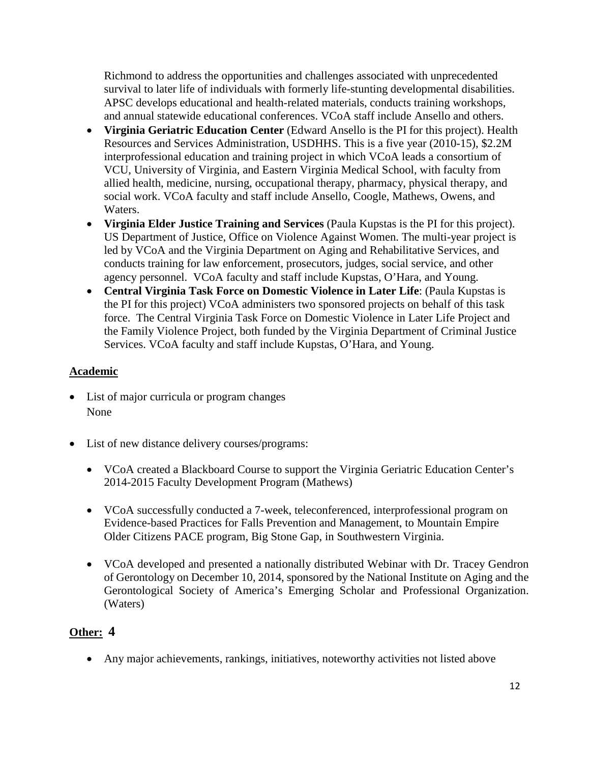Richmond to address the opportunities and challenges associated with unprecedented survival to later life of individuals with formerly life-stunting developmental disabilities. APSC develops educational and health-related materials, conducts training workshops, and annual statewide educational conferences. VCoA staff include Ansello and others.

- **Virginia Geriatric Education Center** (Edward Ansello is the PI for this project). Health Resources and Services Administration, USDHHS. This is a five year (2010-15), \$2.2M interprofessional education and training project in which VCoA leads a consortium of VCU, University of Virginia, and Eastern Virginia Medical School, with faculty from allied health, medicine, nursing, occupational therapy, pharmacy, physical therapy, and social work. VCoA faculty and staff include Ansello, Coogle, Mathews, Owens, and Waters.
- **Virginia Elder Justice Training and Services** (Paula Kupstas is the PI for this project). US Department of Justice, Office on Violence Against Women. The multi-year project is led by VCoA and the Virginia Department on Aging and Rehabilitative Services, and conducts training for law enforcement, prosecutors, judges, social service, and other agency personnel. VCoA faculty and staff include Kupstas, O'Hara, and Young.
- **Central Virginia Task Force on Domestic Violence in Later Life**: (Paula Kupstas is the PI for this project) VCoA administers two sponsored projects on behalf of this task force. The Central Virginia Task Force on Domestic Violence in Later Life Project and the Family Violence Project, both funded by the Virginia Department of Criminal Justice Services. VCoA faculty and staff include Kupstas, O'Hara, and Young.

# **Academic**

- List of major curricula or program changes None
- List of new distance delivery courses/programs:
	- VCoA created a Blackboard Course to support the Virginia Geriatric Education Center's 2014-2015 Faculty Development Program (Mathews)
	- VCoA successfully conducted a 7-week, teleconferenced, interprofessional program on Evidence-based Practices for Falls Prevention and Management, to Mountain Empire Older Citizens PACE program, Big Stone Gap, in Southwestern Virginia.
	- VCoA developed and presented a nationally distributed Webinar with Dr. Tracey Gendron of Gerontology on December 10, 2014, sponsored by the National Institute on Aging and the Gerontological Society of America's Emerging Scholar and Professional Organization. (Waters)

# **Other: 4**

• Any major achievements, rankings, initiatives, noteworthy activities not listed above